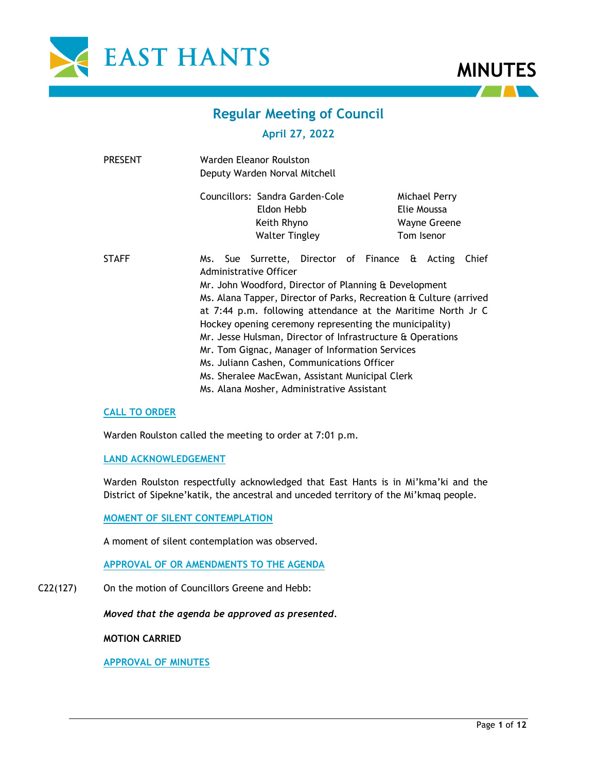



# **Regular Meeting of Council**

## **April 27, 2022**

| <b>PRESENT</b> | Warden Eleanor Roulston<br>Deputy Warden Norval Mitchell                                                                                                                                                                                                                                                                                                                                                                                                                                                                                                                                                   |  |
|----------------|------------------------------------------------------------------------------------------------------------------------------------------------------------------------------------------------------------------------------------------------------------------------------------------------------------------------------------------------------------------------------------------------------------------------------------------------------------------------------------------------------------------------------------------------------------------------------------------------------------|--|
|                | Councillors: Sandra Garden-Cole<br>Michael Perry<br>Eldon Hebb<br>Elie Moussa<br>Keith Rhyno<br><b>Wayne Greene</b><br><b>Walter Tingley</b><br>Tom Isenor                                                                                                                                                                                                                                                                                                                                                                                                                                                 |  |
| <b>STAFF</b>   | Ms. Sue Surrette, Director of Finance & Acting<br>Chief<br>Administrative Officer<br>Mr. John Woodford, Director of Planning & Development<br>Ms. Alana Tapper, Director of Parks, Recreation & Culture (arrived<br>at 7:44 p.m. following attendance at the Maritime North Jr C<br>Hockey opening ceremony representing the municipality)<br>Mr. Jesse Hulsman, Director of Infrastructure & Operations<br>Mr. Tom Gignac, Manager of Information Services<br>Ms. Juliann Cashen, Communications Officer<br>Ms. Sheralee MacEwan, Assistant Municipal Clerk<br>Ms. Alana Mosher, Administrative Assistant |  |

## **CALL TO ORDER**

Warden Roulston called the meeting to order at 7:01 p.m.

## **LAND ACKNOWLEDGEMENT**

Warden Roulston respectfully acknowledged that East Hants is in Mi'kma'ki and the District of Sipekne'katik, the ancestral and unceded territory of the Mi'kmaq people.

## **MOMENT OF SILENT CONTEMPLATION**

A moment of silent contemplation was observed.

**APPROVAL OF OR AMENDMENTS TO THE AGENDA**

C22(127) On the motion of Councillors Greene and Hebb:

*Moved that the agenda be approved as presented.*

**MOTION CARRIED**

**APPROVAL OF MINUTES**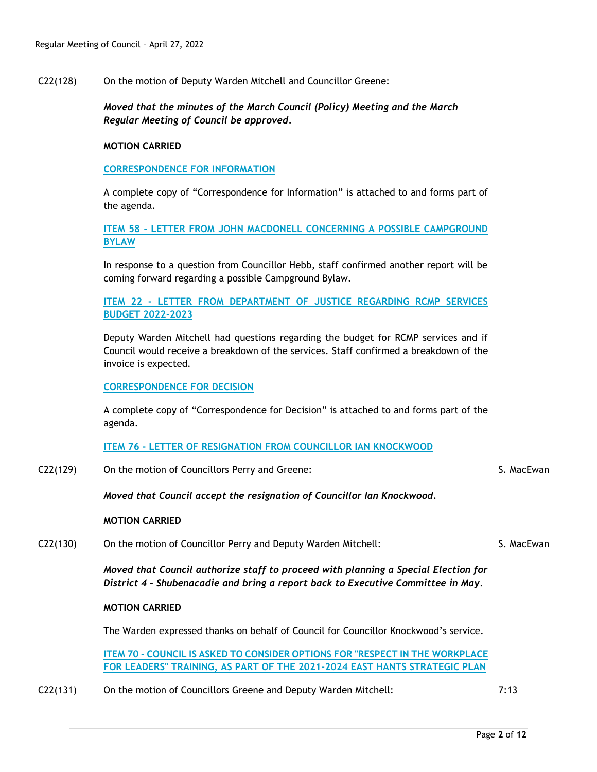C22(128) On the motion of Deputy Warden Mitchell and Councillor Greene:

*Moved that the minutes of the March Council (Policy) Meeting and the March Regular Meeting of Council be approved.* 

## **MOTION CARRIED**

## **CORRESPONDENCE FOR INFORMATION**

A complete copy of "Correspondence for Information" is attached to and forms part of the agenda.

**ITEM 58 - LETTER FROM JOHN MACDONELL CONCERNING A POSSIBLE CAMPGROUND BYLAW**

In response to a question from Councillor Hebb, staff confirmed another report will be coming forward regarding a possible Campground Bylaw.

**ITEM 22 - LETTER FROM DEPARTMENT OF JUSTICE REGARDING RCMP SERVICES BUDGET 2022-2023**

Deputy Warden Mitchell had questions regarding the budget for RCMP services and if Council would receive a breakdown of the services. Staff confirmed a breakdown of the invoice is expected.

## **CORRESPONDENCE FOR DECISION**

A complete copy of "Correspondence for Decision" is attached to and forms part of the agenda.

## **ITEM 76 - LETTER OF RESIGNATION FROM COUNCILLOR IAN KNOCKWOOD**

C22(129) On the motion of Councillors Perry and Greene:

*Moved that Council accept the resignation of Councillor Ian Knockwood.*

#### **MOTION CARRIED**

C22(130) On the motion of Councillor Perry and Deputy Warden Mitchell:

*Moved that Council authorize staff to proceed with planning a Special Election for District 4 – Shubenacadie and bring a report back to Executive Committee in May.*

#### **MOTION CARRIED**

The Warden expressed thanks on behalf of Council for Councillor Knockwood's service.

**ITEM 70 - COUNCIL IS ASKED TO CONSIDER OPTIONS FOR "RESPECT IN THE WORKPLACE FOR LEADERS" TRAINING, AS PART OF THE 2021-2024 EAST HANTS STRATEGIC PLAN**

C22(131) On the motion of Councillors Greene and Deputy Warden Mitchell: 7:13

S. MacEwan

S. MacEwan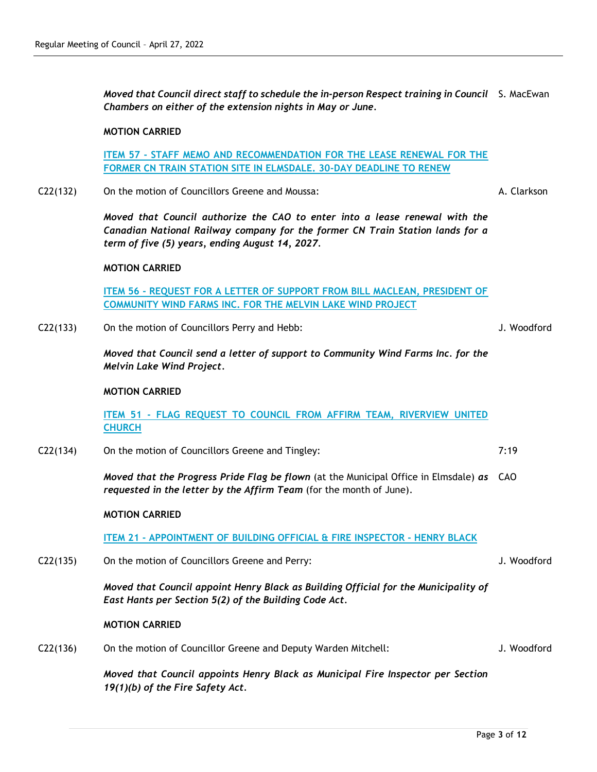*Moved that Council direct staff to schedule the in-person Respect training in Council*  S. MacEwan *Chambers on either of the extension nights in May or June.*

#### **MOTION CARRIED**

**ITEM 57 - STAFF MEMO AND RECOMMENDATION FOR THE LEASE RENEWAL FOR THE FORMER CN TRAIN STATION SITE IN ELMSDALE. 30-DAY DEADLINE TO RENEW**

C22(132) On the motion of Councillors Greene and Moussa:

*Moved that Council authorize the CAO to enter into a lease renewal with the Canadian National Railway company for the former CN Train Station lands for a term of five (5) years, ending August 14, 2027.*

#### **MOTION CARRIED**

**ITEM 56 - REQUEST FOR A LETTER OF SUPPORT FROM BILL MACLEAN, PRESIDENT OF COMMUNITY WIND FARMS INC. FOR THE MELVIN LAKE WIND PROJECT**

C22(133) On the motion of Councillors Perry and Hebb:

J. Woodford

7:19

J. Woodford

J. Woodford

A. Clarkson

*Moved that Council send a letter of support to Community Wind Farms Inc. for the Melvin Lake Wind Project.*

## **MOTION CARRIED**

**ITEM 51 - FLAG REQUEST TO COUNCIL FROM AFFIRM TEAM, RIVERVIEW UNITED CHURCH**

C22(134) On the motion of Councillors Greene and Tingley:

*Moved that the Progress Pride Flag be flown* (at the Municipal Office in Elmsdale) *as*  CAO *requested in the letter by the Affirm Team* (for the month of June).

## **MOTION CARRIED**

**ITEM 21 - APPOINTMENT OF BUILDING OFFICIAL & FIRE INSPECTOR - HENRY BLACK**

C22(135) On the motion of Councillors Greene and Perry:

*Moved that Council appoint Henry Black as Building Official for the Municipality of East Hants per Section 5(2) of the Building Code Act.*

#### **MOTION CARRIED**

C22(136) On the motion of Councillor Greene and Deputy Warden Mitchell:

*Moved that Council appoints Henry Black as Municipal Fire Inspector per Section 19(1)(b) of the Fire Safety Act.*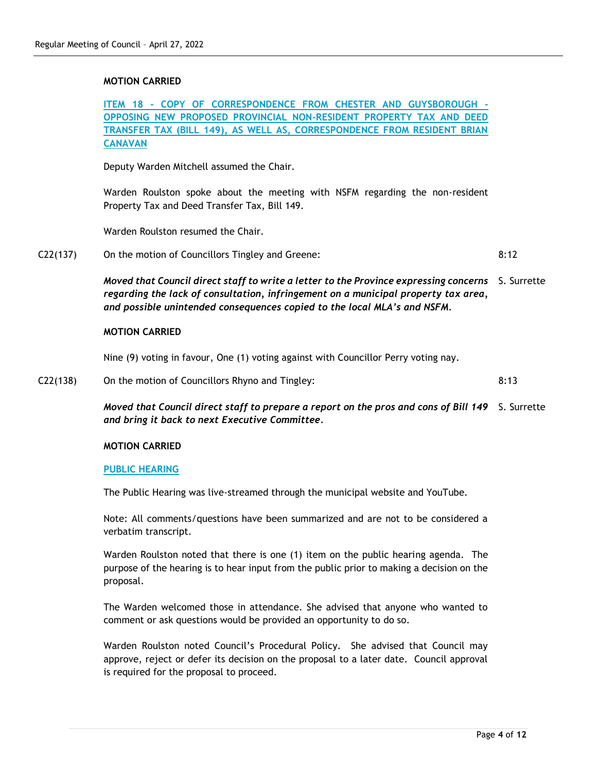## **MOTION CARRIED**

**ITEM 18 - COPY OF CORRESPONDENCE FROM CHESTER AND GUYSBOROUGH - OPPOSING NEW PROPOSED PROVINCIAL NON-RESIDENT PROPERTY TAX AND DEED TRANSFER TAX (BILL 149), AS WELL AS, CORRESPONDENCE FROM RESIDENT BRIAN CANAVAN**

Deputy Warden Mitchell assumed the Chair.

Warden Roulston spoke about the meeting with NSFM regarding the non-resident Property Tax and Deed Transfer Tax, Bill 149.

Warden Roulston resumed the Chair.

C22(137) On the motion of Councillors Tingley and Greene: 8:12

> *Moved that Council direct staff to write a letter to the Province expressing concerns*  S. Surrette *regarding the lack of consultation, infringement on a municipal property tax area, and possible unintended consequences copied to the local MLA's and NSFM.*

#### **MOTION CARRIED**

Nine (9) voting in favour, One (1) voting against with Councillor Perry voting nay.

C22(138) On the motion of Councillors Rhyno and Tingley:

*Moved that Council direct staff to prepare a report on the pros and cons of Bill 149* S. Surrette *and bring it back to next Executive Committee.*

## **MOTION CARRIED**

#### **PUBLIC HEARING**

The Public Hearing was live-streamed through the municipal website and YouTube.

Note: All comments/questions have been summarized and are not to be considered a verbatim transcript.

Warden Roulston noted that there is one (1) item on the public hearing agenda. The purpose of the hearing is to hear input from the public prior to making a decision on the proposal.

The Warden welcomed those in attendance. She advised that anyone who wanted to comment or ask questions would be provided an opportunity to do so.

Warden Roulston noted Council's Procedural Policy. She advised that Council may approve, reject or defer its decision on the proposal to a later date. Council approval is required for the proposal to proceed.

8:13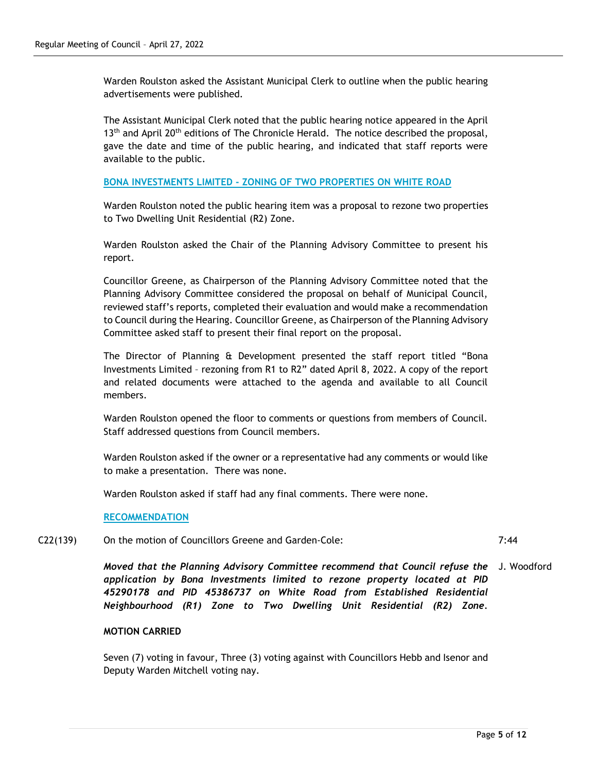Warden Roulston asked the Assistant Municipal Clerk to outline when the public hearing advertisements were published.

The Assistant Municipal Clerk noted that the public hearing notice appeared in the April  $13<sup>th</sup>$  and April 20<sup>th</sup> editions of The Chronicle Herald. The notice described the proposal, gave the date and time of the public hearing, and indicated that staff reports were available to the public.

#### **BONA INVESTMENTS LIMITED - ZONING OF TWO PROPERTIES ON WHITE ROAD**

Warden Roulston noted the public hearing item was a proposal to rezone two properties to Two Dwelling Unit Residential (R2) Zone.

Warden Roulston asked the Chair of the Planning Advisory Committee to present his report.

Councillor Greene, as Chairperson of the Planning Advisory Committee noted that the Planning Advisory Committee considered the proposal on behalf of Municipal Council, reviewed staff's reports, completed their evaluation and would make a recommendation to Council during the Hearing. Councillor Greene, as Chairperson of the Planning Advisory Committee asked staff to present their final report on the proposal.

The Director of Planning & Development presented the staff report titled "Bona Investments Limited – rezoning from R1 to R2" dated April 8, 2022. A copy of the report and related documents were attached to the agenda and available to all Council members.

Warden Roulston opened the floor to comments or questions from members of Council. Staff addressed questions from Council members.

Warden Roulston asked if the owner or a representative had any comments or would like to make a presentation. There was none.

Warden Roulston asked if staff had any final comments. There were none.

#### **RECOMMENDATION**

C22(139) On the motion of Councillors Greene and Garden-Cole:

7:44

**Moved that the Planning Advisory Committee recommend that Council refuse the**  $\,$  J. Woodford *application by Bona Investments limited to rezone property located at PID 45290178 and PID 45386737 on White Road from Established Residential Neighbourhood (R1) Zone to Two Dwelling Unit Residential (R2) Zone.*

#### **MOTION CARRIED**

Seven (7) voting in favour, Three (3) voting against with Councillors Hebb and Isenor and Deputy Warden Mitchell voting nay.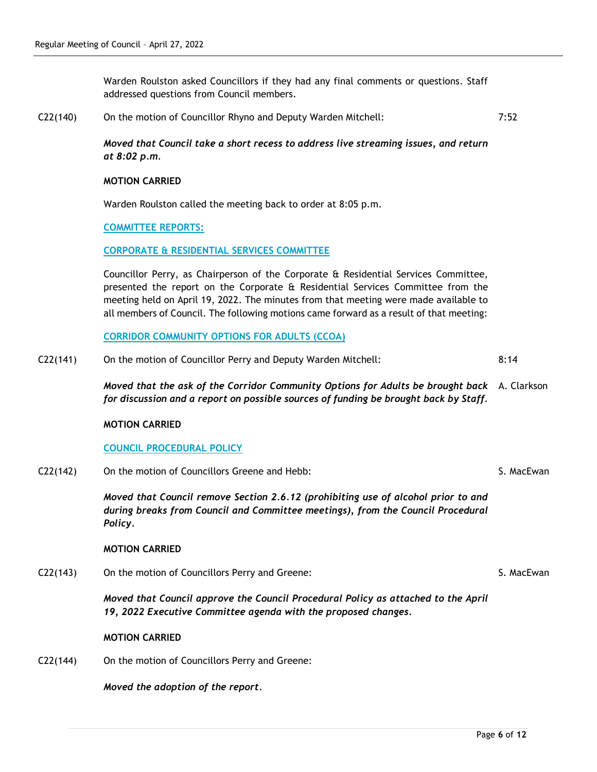Warden Roulston asked Councillors if they had any final comments or questions. Staff addressed questions from Council members.

C22(140) On the motion of Councillor Rhyno and Deputy Warden Mitchell: 7:52

> *Moved that Council take a short recess to address live streaming issues, and return at 8:02 p.m.*

#### **MOTION CARRIED**

Warden Roulston called the meeting back to order at 8:05 p.m.

#### **COMMITTEE REPORTS:**

#### **CORPORATE & RESIDENTIAL SERVICES COMMITTEE**

Councillor Perry, as Chairperson of the Corporate & Residential Services Committee, presented the report on the Corporate & Residential Services Committee from the meeting held on April 19, 2022. The minutes from that meeting were made available to all members of Council. The following motions came forward as a result of that meeting:

**CORRIDOR COMMUNITY OPTIONS FOR ADULTS (CCOA)**

C22(141) On the motion of Councillor Perry and Deputy Warden Mitchell: 8:14

> *Moved that the ask of the Corridor Community Options for Adults be brought back*  A. Clarkson *for discussion and a report on possible sources of funding be brought back by Staff.*

#### **MOTION CARRIED**

## **COUNCIL PROCEDURAL POLICY**

C22(142) On the motion of Councillors Greene and Hebb:

*Moved that Council remove Section 2.6.12 (prohibiting use of alcohol prior to and during breaks from Council and Committee meetings), from the Council Procedural Policy.*

#### **MOTION CARRIED**

C22(143) On the motion of Councillors Perry and Greene:

*Moved that Council approve the Council Procedural Policy as attached to the April 19, 2022 Executive Committee agenda with the proposed changes.*

## **MOTION CARRIED**

C22(144) On the motion of Councillors Perry and Greene:

*Moved the adoption of the report.*

S. MacEwan

S. MacEwan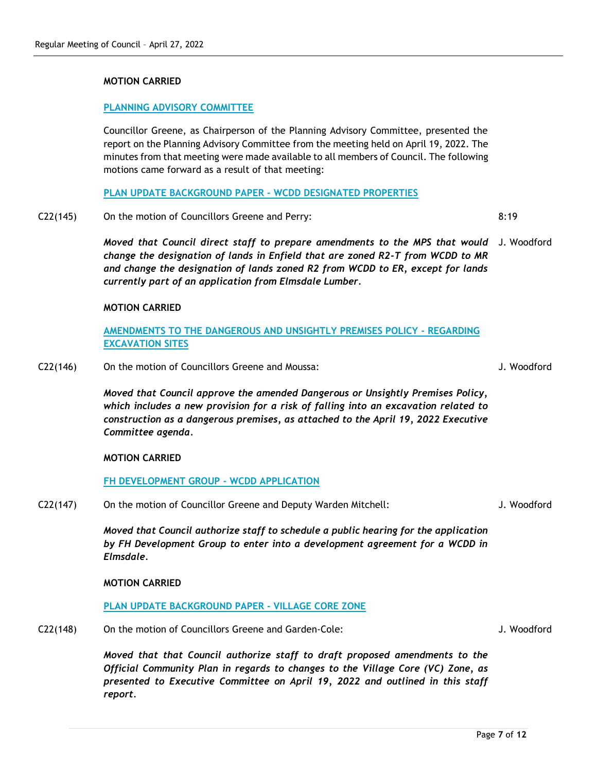## **MOTION CARRIED**

## **PLANNING ADVISORY COMMITTEE**

Councillor Greene, as Chairperson of the Planning Advisory Committee, presented the report on the Planning Advisory Committee from the meeting held on April 19, 2022. The minutes from that meeting were made available to all members of Council. The following motions came forward as a result of that meeting:

**PLAN UPDATE BACKGROUND PAPER - WCDD DESIGNATED PROPERTIES**

C22(145) On the motion of Councillors Greene and Perry:

*Moved that Council direct staff to prepare amendments to the MPS that would*  J. Woodford *change the designation of lands in Enfield that are zoned R2-T from WCDD to MR and change the designation of lands zoned R2 from WCDD to ER, except for lands currently part of an application from Elmsdale Lumber.*

#### **MOTION CARRIED**

**AMENDMENTS TO THE DANGEROUS AND UNSIGHTLY PREMISES POLICY - REGARDING EXCAVATION SITES**

C22(146) On the motion of Councillors Greene and Moussa:

*Moved that Council approve the amended Dangerous or Unsightly Premises Policy, which includes a new provision for a risk of falling into an excavation related to construction as a dangerous premises, as attached to the April 19, 2022 Executive Committee agenda.*

## **MOTION CARRIED**

**FH DEVELOPMENT GROUP - WCDD APPLICATION**

C22(147) On the motion of Councillor Greene and Deputy Warden Mitchell:

*Moved that Council authorize staff to schedule a public hearing for the application by FH Development Group to enter into a development agreement for a WCDD in Elmsdale.*

#### **MOTION CARRIED**

#### **PLAN UPDATE BACKGROUND PAPER - VILLAGE CORE ZONE**

C22(148) On the motion of Councillors Greene and Garden-Cole:

*Moved that that Council authorize staff to draft proposed amendments to the Official Community Plan in regards to changes to the Village Core (VC) Zone, as presented to Executive Committee on April 19, 2022 and outlined in this staff report.*

J. Woodford

8:19

J. Woodford

J. Woodford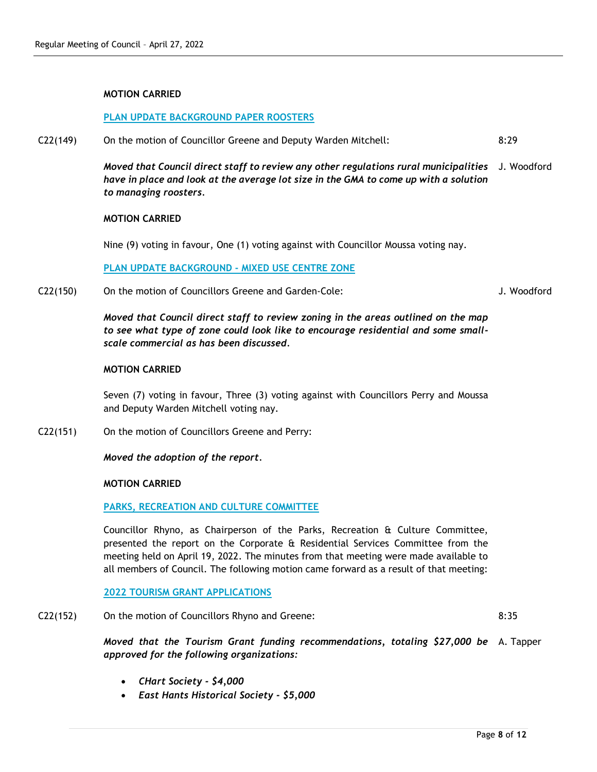## **MOTION CARRIED**

## **PLAN UPDATE BACKGROUND PAPER ROOSTERS**

C22(149) On the motion of Councillor Greene and Deputy Warden Mitchell: 8:29

> *Moved that Council direct staff to review any other regulations rural municipalities*  J. Woodford *have in place and look at the average lot size in the GMA to come up with a solution to managing roosters.*

#### **MOTION CARRIED**

Nine (9) voting in favour, One (1) voting against with Councillor Moussa voting nay.

**PLAN UPDATE BACKGROUND - MIXED USE CENTRE ZONE**

C22(150) On the motion of Councillors Greene and Garden-Cole:

*Moved that Council direct staff to review zoning in the areas outlined on the map to see what type of zone could look like to encourage residential and some smallscale commercial as has been discussed.*

## **MOTION CARRIED**

Seven (7) voting in favour, Three (3) voting against with Councillors Perry and Moussa and Deputy Warden Mitchell voting nay.

C22(151) On the motion of Councillors Greene and Perry:

*Moved the adoption of the report.*

## **MOTION CARRIED**

## **PARKS, RECREATION AND CULTURE COMMITTEE**

Councillor Rhyno, as Chairperson of the Parks, Recreation & Culture Committee, presented the report on the Corporate & Residential Services Committee from the meeting held on April 19, 2022. The minutes from that meeting were made available to all members of Council. The following motion came forward as a result of that meeting:

## **2022 TOURISM GRANT APPLICATIONS**

C22(152) On the motion of Councillors Rhyno and Greene:

8:35

J. Woodford

*Moved that the Tourism Grant funding recommendations, totaling \$27,000 be*  A. Tapper*approved for the following organizations:*

- *CHart Society - \$4,000*
- *East Hants Historical Society - \$5,000*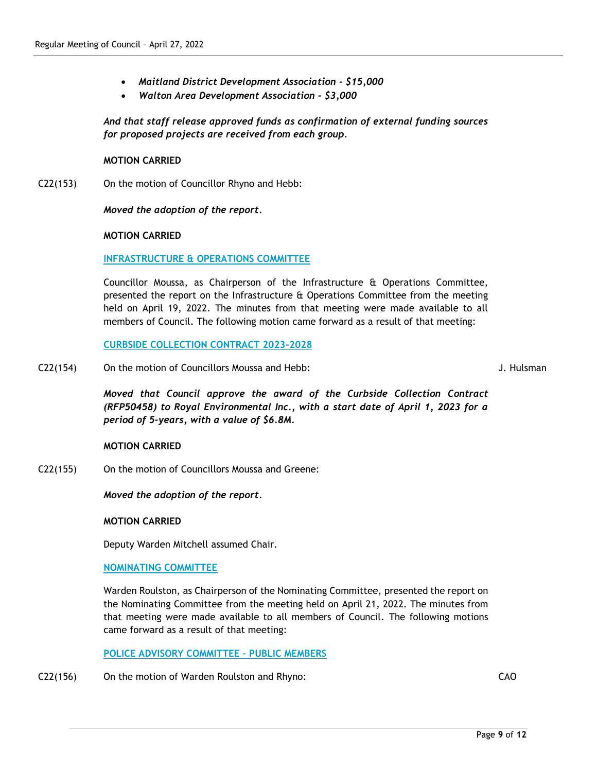- *Maitland District Development Association - \$15,000*
- *Walton Area Development Association - \$3,000*

*And that staff release approved funds as confirmation of external funding sources for proposed projects are received from each group.*

## **MOTION CARRIED**

C22(153) On the motion of Councillor Rhyno and Hebb:

*Moved the adoption of the report.*

## **MOTION CARRIED**

**INFRASTRUCTURE & OPERATIONS COMMITTEE**

Councillor Moussa, as Chairperson of the Infrastructure & Operations Committee, presented the report on the Infrastructure & Operations Committee from the meeting held on April 19, 2022. The minutes from that meeting were made available to all members of Council. The following motion came forward as a result of that meeting:

**CURBSIDE COLLECTION CONTRACT 2023-2028**

C22(154) On the motion of Councillors Moussa and Hebb:

J. Hulsman

*Moved that Council approve the award of the Curbside Collection Contract (RFP50458) to Royal Environmental Inc., with a start date of April 1, 2023 for a period of 5-years, with a value of \$6.8M.*

## **MOTION CARRIED**

C22(155) On the motion of Councillors Moussa and Greene:

*Moved the adoption of the report.*

#### **MOTION CARRIED**

Deputy Warden Mitchell assumed Chair.

## **NOMINATING COMMITTEE**

Warden Roulston, as Chairperson of the Nominating Committee, presented the report on the Nominating Committee from the meeting held on April 21, 2022. The minutes from that meeting were made available to all members of Council. The following motions came forward as a result of that meeting:

**POLICE ADVISORY COMMITTEE – PUBLIC MEMBERS**

C22(156) On the motion of Warden Roulston and Rhyno: CAO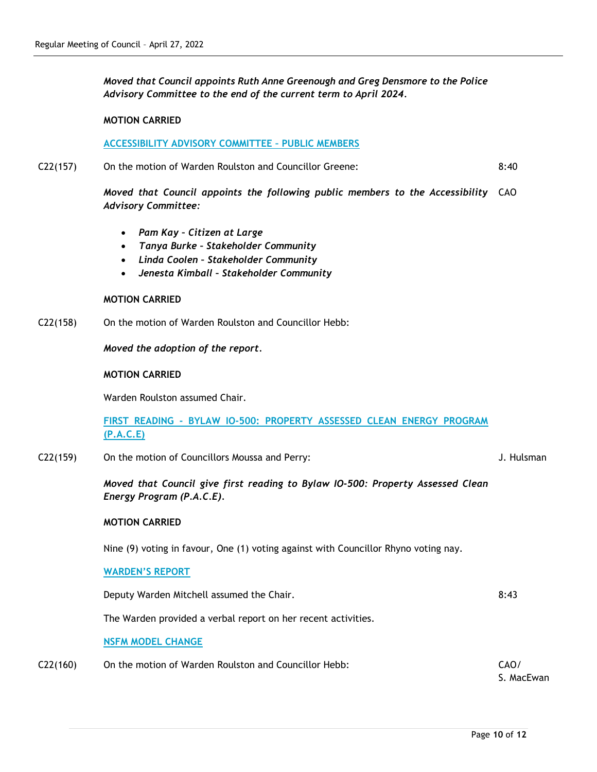*Moved that Council appoints Ruth Anne Greenough and Greg Densmore to the Police Advisory Committee to the end of the current term to April 2024.*

## **MOTION CARRIED**

#### **ACCESSIBILITY ADVISORY COMMITTEE – PUBLIC MEMBERS**

C22(157) On the motion of Warden Roulston and Councillor Greene: 8:40

> *Moved that Council appoints the following public members to the Accessibility*  CAO *Advisory Committee:*

- *Pam Kay – Citizen at Large*
- *Tanya Burke – Stakeholder Community*
- *Linda Coolen – Stakeholder Community*
- *Jenesta Kimball – Stakeholder Community*

#### **MOTION CARRIED**

C22(158) On the motion of Warden Roulston and Councillor Hebb:

*Moved the adoption of the report.*

## **MOTION CARRIED**

Warden Roulston assumed Chair.

**FIRST READING - BYLAW IO-500: PROPERTY ASSESSED CLEAN ENERGY PROGRAM (P.A.C.E)**

C22(159) On the motion of Councillors Moussa and Perry:

J. Hulsman

*Moved that Council give first reading to Bylaw IO-500: Property Assessed Clean Energy Program (P.A.C.E).*

#### **MOTION CARRIED**

Nine (9) voting in favour, One (1) voting against with Councillor Rhyno voting nay.

#### **WARDEN'S REPORT**

Deputy Warden Mitchell assumed the Chair. The Chair control of the State 8:43

The Warden provided a verbal report on her recent activities.

#### **NSFM MODEL CHANGE**

| C22(160) | On the motion of Warden Roulston and Councillor Hebb: | CAO/ |
|----------|-------------------------------------------------------|------|
|----------|-------------------------------------------------------|------|

S. MacEwan